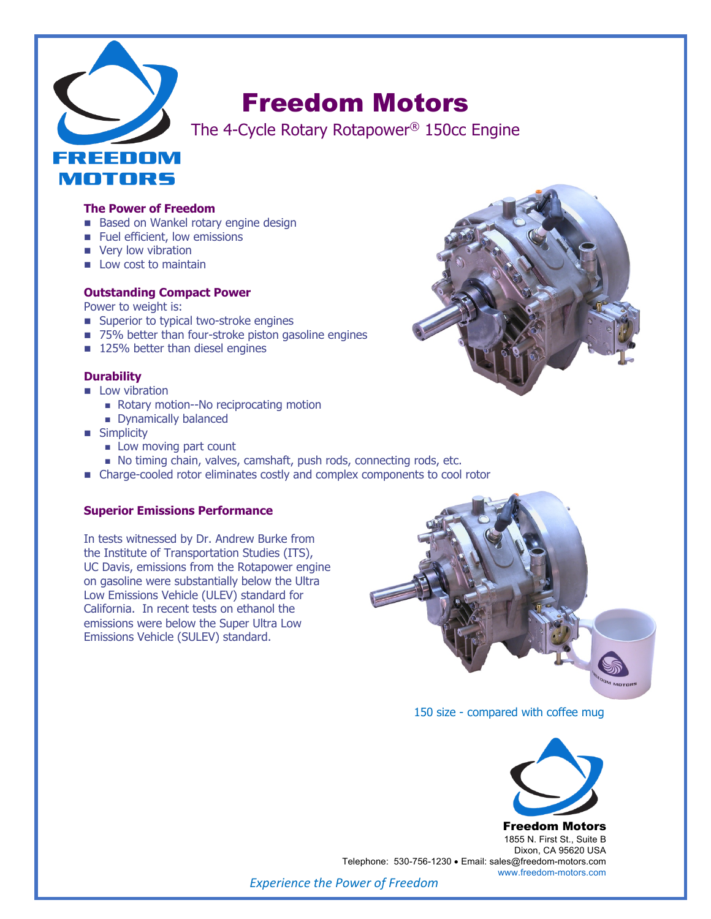

# Freedom Motors

The 4-Cycle Rotary Rotapower® 150cc Engine

## **The Power of Freedom**

- Based on Wankel rotary engine design
- **n** Fuel efficient, low emissions
- very low vibration
- $\blacksquare$  Low cost to maintain

## **Outstanding Compact Power**

Power to weight is:

- Superior to typical two-stroke engines
- 75% better than four-stroke piston gasoline engines
- $\blacksquare$  125% better than diesel engines

# **Durability**

- $\blacksquare$  Low vibration
	- Rotary motion--No reciprocating motion
	- Dynamically balanced
- **n** Simplicity
	- **n** Low moving part count
	- <sup>n</sup> No timing chain, valves, camshaft, push rods, connecting rods, etc.
- Charge-cooled rotor eliminates costly and complex components to cool rotor

#### **Superior Emissions Performance**

In tests witnessed by Dr. Andrew Burke from the Institute of Transportation Studies (ITS), UC Davis, emissions from the Rotapower engine on gasoline were substantially below the Ultra Low Emissions Vehicle (ULEV) standard for California. In recent tests on ethanol the emissions were below the Super Ultra Low Emissions Vehicle (SULEV) standard.



150 size - compared with coffee mug



Freedom Motors 1855 N. First St., Suite B Dixon, CA 95620 USA Telephone: 530-756-1230 • Email: sales@freedom-motors.com www.freedom-motors.com

*Experience the Power of Freedom*